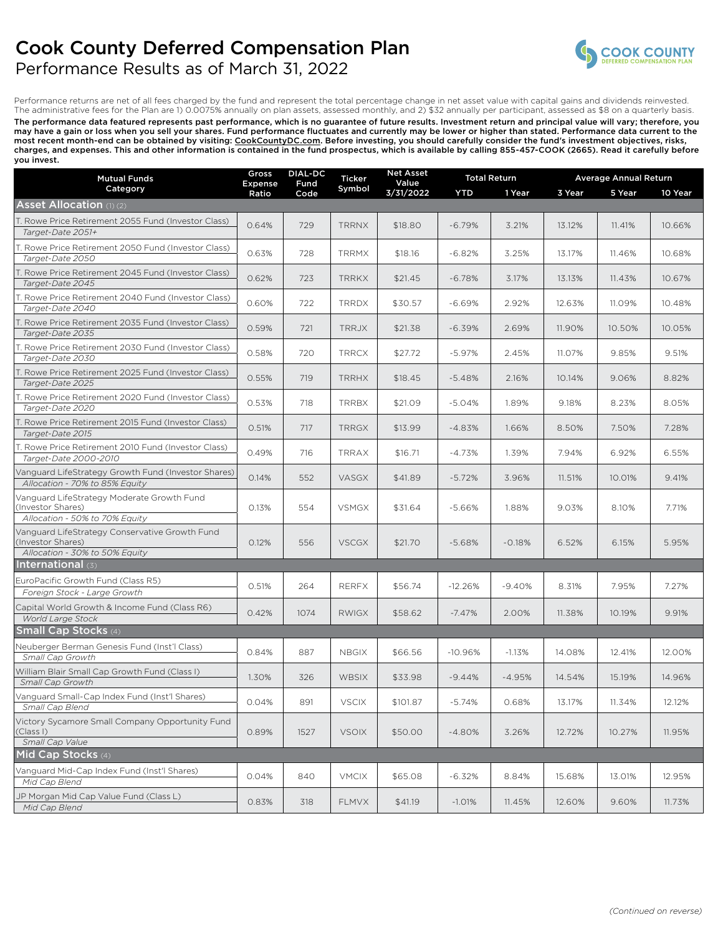# Cook County Deferred Compensation Plan



### Performance Results as of March 31, 2022

Performance returns are net of all fees charged by the fund and represent the total percentage change in net asset value with capital gains and dividends reinvested. The administrative fees for the Plan are 1) 0.0075% annually on plan assets, assessed monthly, and 2) \$32 annually per participant, assessed as \$8 on a quarterly basis. The performance data featured represents past performance, which is no guarantee of future results. Investment return and principal value will vary; therefore, you may have a gain or loss when you sell your shares. Fund performance fluctuates and currently may be lower or higher than stated. Performance data current to the most recent month-end can be obtained by visiting: <u>CookCountyDC.com</u>. Before investing, you should carefully consider the fund's investment objectives, risks, charges, and expenses. This and other information is contained in the fund prospectus, which is available by calling 855-457-COOK (2665). Read it carefully before you invest.

| <b>Mutual Funds</b>                                                                                   | <b>Net Asset</b><br><b>DIAL-DC</b><br>Gross<br><b>Total Return</b><br>Ticker<br>Value<br>Fund<br>Expense |      |              | <b>Average Annual Return</b> |            |          |        |        |         |
|-------------------------------------------------------------------------------------------------------|----------------------------------------------------------------------------------------------------------|------|--------------|------------------------------|------------|----------|--------|--------|---------|
| Category                                                                                              | Ratio                                                                                                    | Code | Symbol       | 3/31/2022                    | <b>YTD</b> | 1 Year   | 3 Year | 5 Year | 10 Year |
| <b>Asset Allocation (1) (2)</b>                                                                       |                                                                                                          |      |              |                              |            |          |        |        |         |
| T. Rowe Price Retirement 2055 Fund (Investor Class)<br>Target-Date 2051+                              | 0.64%                                                                                                    | 729  | <b>TRRNX</b> | \$18.80                      | $-6.79%$   | 3.21%    | 13.12% | 11.41% | 10.66%  |
| T. Rowe Price Retirement 2050 Fund (Investor Class)<br>Target-Date 2050                               | 0.63%                                                                                                    | 728  | <b>TRRMX</b> | \$18.16                      | $-6.82%$   | 3.25%    | 13.17% | 11.46% | 10.68%  |
| T. Rowe Price Retirement 2045 Fund (Investor Class)<br>Target-Date 2045                               | 0.62%                                                                                                    | 723  | <b>TRRKX</b> | \$21.45                      | $-6.78%$   | 3.17%    | 13.13% | 11.43% | 10.67%  |
| T. Rowe Price Retirement 2040 Fund (Investor Class)<br>Target-Date 2040                               | 0.60%                                                                                                    | 722  | <b>TRRDX</b> | \$30.57                      | $-6.69%$   | 2.92%    | 12.63% | 11.09% | 10.48%  |
| T. Rowe Price Retirement 2035 Fund (Investor Class)<br>Target-Date 2035                               | 0.59%                                                                                                    | 721  | <b>TRRJX</b> | \$21.38                      | $-6.39%$   | 2.69%    | 11.90% | 10.50% | 10.05%  |
| T. Rowe Price Retirement 2030 Fund (Investor Class)<br>Target-Date 2030                               | 0.58%                                                                                                    | 720  | <b>TRRCX</b> | \$27.72                      | $-5.97%$   | 2.45%    | 11.07% | 9.85%  | 9.51%   |
| T. Rowe Price Retirement 2025 Fund (Investor Class)<br>Target-Date 2025                               | 0.55%                                                                                                    | 719  | <b>TRRHX</b> | \$18.45                      | $-5.48%$   | 2.16%    | 10.14% | 9.06%  | 8.82%   |
| T. Rowe Price Retirement 2020 Fund (Investor Class)<br>Target-Date 2020                               | 0.53%                                                                                                    | 718  | <b>TRRBX</b> | \$21.09                      | $-5.04%$   | 1.89%    | 9.18%  | 8.23%  | 8.05%   |
| T. Rowe Price Retirement 2015 Fund (Investor Class)<br>Target-Date 2015                               | 0.51%                                                                                                    | 717  | <b>TRRGX</b> | \$13.99                      | $-4.83%$   | 1.66%    | 8.50%  | 7.50%  | 7.28%   |
| T. Rowe Price Retirement 2010 Fund (Investor Class)<br>Target-Date 2000-2010                          | 0.49%                                                                                                    | 716  | TRRAX        | \$16.71                      | $-4.73%$   | 1.39%    | 7.94%  | 6.92%  | 6.55%   |
| Vanguard LifeStrategy Growth Fund (Investor Shares)<br>Allocation - 70% to 85% Equity                 | 0.14%                                                                                                    | 552  | VASGX        | \$41.89                      | $-5.72%$   | 3.96%    | 11.51% | 10.01% | 9.41%   |
| Vanguard LifeStrategy Moderate Growth Fund<br>(Investor Shares)                                       | 0.13%                                                                                                    | 554  | <b>VSMGX</b> | \$31.64                      | $-5.66%$   | 1.88%    | 9.03%  | 8.10%  | 7.71%   |
| Allocation - 50% to 70% Equity<br>Vanguard LifeStrategy Conservative Growth Fund<br>(Investor Shares) | 0.12%                                                                                                    | 556  | <b>VSCGX</b> | \$21.70                      | $-5.68%$   | $-0.18%$ | 6.52%  | 6.15%  | 5.95%   |
| Allocation - 30% to 50% Equity<br><b>International</b> (3)                                            |                                                                                                          |      |              |                              |            |          |        |        |         |
| EuroPacific Growth Fund (Class R5)<br>Foreign Stock - Large Growth                                    | 0.51%                                                                                                    | 264  | <b>RERFX</b> | \$56.74                      | $-12.26%$  | $-9.40%$ | 8.31%  | 7.95%  | 7.27%   |
| Capital World Growth & Income Fund (Class R6)<br>World Large Stock                                    | 0.42%                                                                                                    | 1074 | <b>RWIGX</b> | \$58.62                      | $-7.47%$   | 2.00%    | 11.38% | 10.19% | 9.91%   |
| <b>Small Cap Stocks (4)</b>                                                                           |                                                                                                          |      |              |                              |            |          |        |        |         |
| Neuberger Berman Genesis Fund (Inst'l Class)<br>Small Cap Growth                                      | 0.84%                                                                                                    | 887  | <b>NBGIX</b> | \$66.56                      | $-10.96%$  | $-1.13%$ | 14.08% | 12.41% | 12.00%  |
| William Blair Small Cap Growth Fund (Class I)<br>Small Cap Growth                                     | 1.30%                                                                                                    | 326  | <b>WBSIX</b> | \$33.98                      | $-9.44%$   | $-4.95%$ | 14.54% | 15.19% | 14.96%  |
| Vanguard Small-Cap Index Fund (Inst'l Shares)<br>Small Cap Blend                                      | 0.04%                                                                                                    | 891  | <b>VSCIX</b> | \$101.87                     | -5.74%     | 0.68%    | 13.17% | 11.34% | 12.12%  |
| Victory Sycamore Small Company Opportunity Fund<br>(Class I)                                          | 0.89%                                                                                                    | 1527 | <b>VSOIX</b> | \$50.00                      | $-4.80%$   | 3.26%    | 12.72% | 10.27% | 11.95%  |
| Small Cap Value<br>Mid Cap Stocks (4)                                                                 |                                                                                                          |      |              |                              |            |          |        |        |         |
| Vanguard Mid-Cap Index Fund (Inst'l Shares)<br>Mid Cap Blend                                          | 0.04%                                                                                                    | 840  | <b>VMCIX</b> | \$65.08                      | $-6.32%$   | 8.84%    | 15.68% | 13.01% | 12.95%  |
| JP Morgan Mid Cap Value Fund (Class L)<br>Mid Cap Blend                                               | 0.83%                                                                                                    | 318  | <b>FLMVX</b> | \$41.19                      | $-1.01%$   | 11.45%   | 12.60% | 9.60%  | 11.73%  |